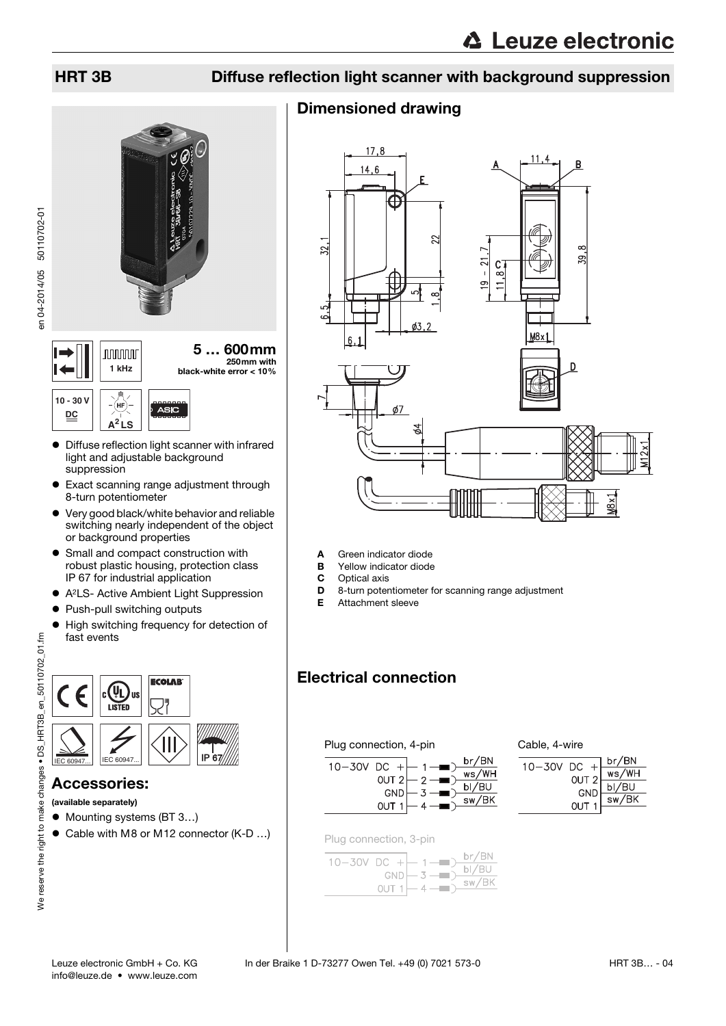## HRT 3B Diffuse reflection light scanner with background suppression

### Dimensioned drawing



en 04-2014/05 50110702-01 en 04-2014/05 50110702-01

> **10 - 30 V** (нғ ASIO **DC A<sup>2</sup> LS** Diffuse reflection light scanner with infrared

**nnnnn** 

light and adjustable background suppression

**1 kHz** black-white error < 10%

- Exact scanning range adjustment through 8-turn potentiometer
- Very good black/white behavior and reliable switching nearly independent of the object or background properties
- **•** Small and compact construction with robust plastic housing, protection class IP 67 for industrial application
- A2LS- Active Ambient Light Suppression
- Push-pull switching outputs
- $\bullet$  High switching frequency for detection of fast events



(available separately)

- Mounting systems (BT 3...)
- Cable with M8 or M12 connector (K-D ...)
- A Green indicator diode
- **B** Yellow indicator diode<br>**C** Optical axis
	- Optical axis
- **D** 8-turn potentiometer for scanning range adjustment
- E Attachment sleeve

# Electrical connection

#### Plug connection, 4-pin







Plug connection, 3-pin

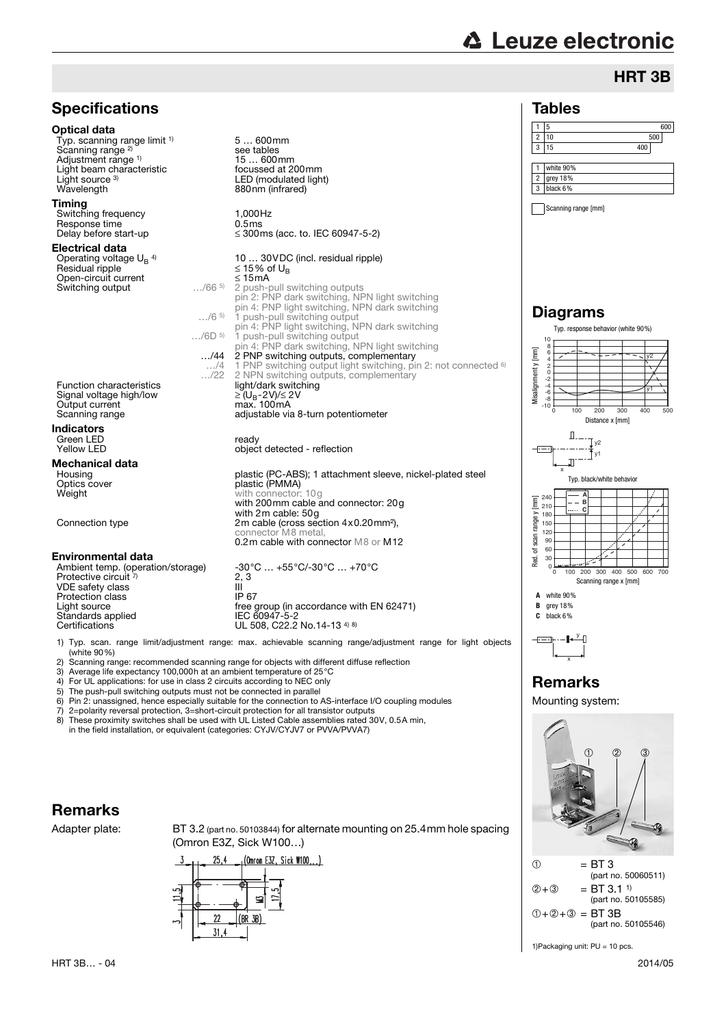# **∆ Leuze electronic**

## HRT 3B



1) Typ. scan. range limit/adjustment range: max. achievable scanning range/adjustment range for light objects (white 90%)

2) Scanning range: recommended scanning range for objects with different diffuse reflection<br>3) Average life expectancy 100.000h at an ambient temperature of 25 °C

3) Average life expectancy 100,000h at an ambient temperature of 25°C

4) For UL applications: for use in class 2 circuits according to NEC only

5) The push-pull switching outputs must not be connected in parallel 6) Pin 2: unassigned, hence especially suitable for the connection to  $\lambda$ 

6) Pin 2: unassigned, hence especially suitable for the connection to AS-interface I/O coupling modules<br>
7) 2=nolarity reversal protection 3=short-circuit protection for all transistor outputs

7) 2=polarity reversal protection, 3=short-circuit protection for all transistor outputs

These proximity switches shall be used with UL Listed Cable assemblies rated 30V, 0.5A min, in the field installation, or equivalent (categories: CYJV/CYJV7 or PVVA/PVVA7)

#### Remarks

Adapter plate: BT 3.2 (part no. 50103844) for alternate mounting on 25.4mm hole spacing (Omron E3Z, Sick W100…)





1)Packaging unit: PU = 10 pcs.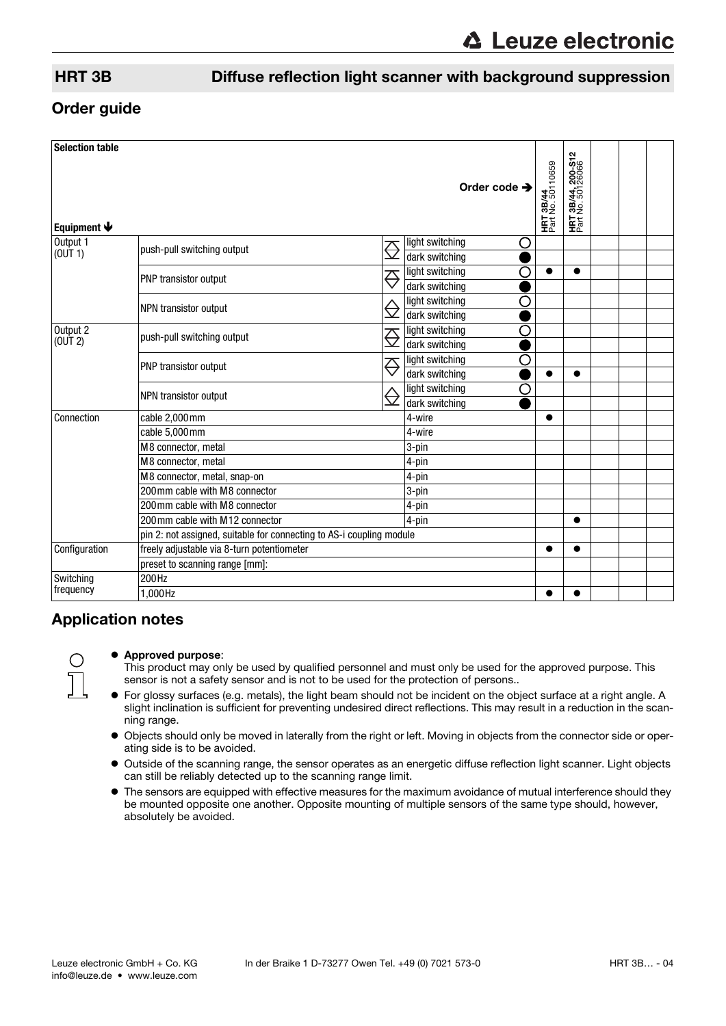### HRT 3B Diffuse reflection light scanner with background suppression

#### Order guide

| <b>Selection table</b>    |                                                                      |                      |                                        |                                       |                                                     |  |
|---------------------------|----------------------------------------------------------------------|----------------------|----------------------------------------|---------------------------------------|-----------------------------------------------------|--|
| Equipment $\blacklozenge$ |                                                                      |                      | Order code $\rightarrow$               | <b>HRT 3B/44</b><br>Part No. 50110659 | ີ<br>3B/44, 200-S1<br>No. 50126066<br>HRT<br>Part I |  |
| Output 1<br>(0UT 1)       | push-pull switching output                                           | <del>⇔</del>         | light switching<br>O<br>dark switching |                                       |                                                     |  |
|                           | PNP transistor output                                                | $\overline{\ominus}$ | light switching<br>Ω<br>dark switching |                                       | $\bullet$                                           |  |
|                           | NPN transistor output                                                | ⊖                    | light switching<br>О<br>dark switching |                                       |                                                     |  |
| Output 2<br>(OUT 2)       | push-pull switching output                                           | $\overline{\ominus}$ | light switching<br>О<br>dark switching |                                       |                                                     |  |
|                           | PNP transistor output                                                | $\overline{\ominus}$ | O<br>light switching<br>dark switching |                                       |                                                     |  |
|                           | NPN transistor output                                                | ⇔                    | light switching<br>O<br>dark switching |                                       |                                                     |  |
| Connection                | cable 2,000mm                                                        |                      | 4-wire                                 |                                       |                                                     |  |
|                           | cable $5,000$ mm                                                     |                      | 4-wire                                 |                                       |                                                     |  |
|                           | M8 connector, metal                                                  |                      | 3-pin                                  |                                       |                                                     |  |
|                           | M8 connector, metal                                                  |                      | 4-pin                                  |                                       |                                                     |  |
|                           | M8 connector, metal, snap-on                                         |                      | 4-pin                                  |                                       |                                                     |  |
|                           | 200mm cable with M8 connector                                        |                      | 3-pin                                  |                                       |                                                     |  |
|                           | 200mm cable with M8 connector                                        |                      | 4-pin                                  |                                       |                                                     |  |
|                           | 200 mm cable with M12 connector                                      |                      | 4-pin                                  |                                       | ●                                                   |  |
|                           | pin 2: not assigned, suitable for connecting to AS-i coupling module |                      |                                        |                                       |                                                     |  |
| Configuration             | freely adjustable via 8-turn potentiometer                           |                      |                                        |                                       | $\bullet$                                           |  |
|                           | preset to scanning range [mm]:                                       |                      |                                        |                                       |                                                     |  |
| Switching<br>frequency    | 200Hz                                                                |                      |                                        |                                       |                                                     |  |
|                           | 1,000Hz                                                              |                      |                                        |                                       |                                                     |  |

### Application notes

#### Approved purpose:

This product may only be used by qualified personnel and must only be used for the approved purpose. This sensor is not a safety sensor and is not to be used for the protection of persons..

- For glossy surfaces (e.g. metals), the light beam should not be incident on the object surface at a right angle. A slight inclination is sufficient for preventing undesired direct reflections. This may result in a reduction in the scanning range.
- Objects should only be moved in laterally from the right or left. Moving in objects from the connector side or operating side is to be avoided.
- Outside of the scanning range, the sensor operates as an energetic diffuse reflection light scanner. Light objects can still be reliably detected up to the scanning range limit.
- $\bullet$  The sensors are equipped with effective measures for the maximum avoidance of mutual interference should they be mounted opposite one another. Opposite mounting of multiple sensors of the same type should, however, absolutely be avoided.